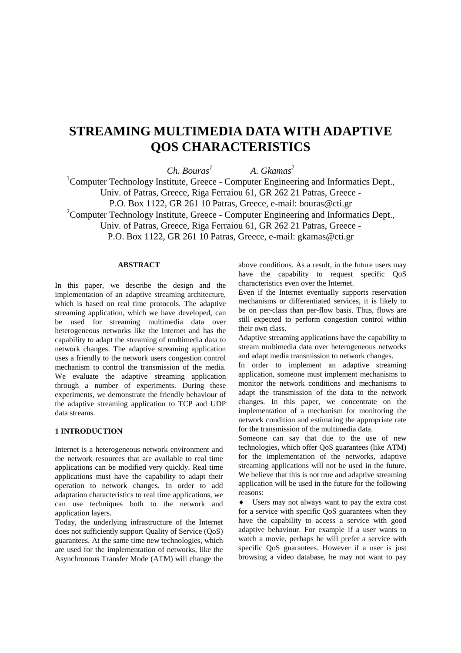# **STREAMING MULTIMEDIA DATA WITH ADAPTIVE QOS CHARACTERISTICS**

*Ch. Bouras<sup>1</sup>*

 *A. Gkamas2* 

<sup>1</sup>Computer Technology Institute, Greece - Computer Engineering and Informatics Dept., Univ. of Patras, Greece, Riga Ferraiou 61, GR 262 21 Patras, Greece - P.O. Box 1122, GR 261 10 Patras, Greece, e-mail: bouras@cti.gr  $2$ Computer Technology Institute, Greece - Computer Engineering and Informatics Dept., Univ. of Patras, Greece, Riga Ferraiou 61, GR 262 21 Patras, Greece -

P.O. Box 1122, GR 261 10 Patras, Greece, e-mail: gkamas@cti.gr

# **ABSTRACT**

In this paper, we describe the design and the implementation of an adaptive streaming architecture, which is based on real time protocols. The adaptive streaming application, which we have developed, can be used for streaming multimedia data over heterogeneous networks like the Internet and has the capability to adapt the streaming of multimedia data to network changes. The adaptive streaming application uses a friendly to the network users congestion control mechanism to control the transmission of the media. We evaluate the adaptive streaming application through a number of experiments. During these experiments, we demonstrate the friendly behaviour of the adaptive streaming application to TCP and UDP data streams.

#### **1 INTRODUCTION**

Internet is a heterogeneous network environment and the network resources that are available to real time applications can be modified very quickly. Real time applications must have the capability to adapt their operation to network changes. In order to add adaptation characteristics to real time applications, we can use techniques both to the network and application layers.

Today, the underlying infrastructure of the Internet does not sufficiently support Quality of Service (QoS) guarantees. At the same time new technologies, which are used for the implementation of networks, like the Asynchronous Transfer Mode (ATM) will change the above conditions. As a result, in the future users may have the capability to request specific QoS characteristics even over the Internet.

Even if the Internet eventually supports reservation mechanisms or differentiated services, it is likely to be on per-class than per-flow basis. Thus, flows are still expected to perform congestion control within their own class.

Adaptive streaming applications have the capability to stream multimedia data over heterogeneous networks and adapt media transmission to network changes.

In order to implement an adaptive streaming application, someone must implement mechanisms to monitor the network conditions and mechanisms to adapt the transmission of the data to the network changes. In this paper, we concentrate on the implementation of a mechanism for monitoring the network condition and estimating the appropriate rate for the transmission of the multimedia data.

Someone can say that due to the use of new technologies, which offer QoS guarantees (like ATM) for the implementation of the networks, adaptive streaming applications will not be used in the future. We believe that this is not true and adaptive streaming application will be used in the future for the following reasons:

♦ Users may not always want to pay the extra cost for a service with specific QoS guarantees when they have the capability to access a service with good adaptive behaviour. For example if a user wants to watch a movie, perhaps he will prefer a service with specific QoS guarantees. However if a user is just browsing a video database, he may not want to pay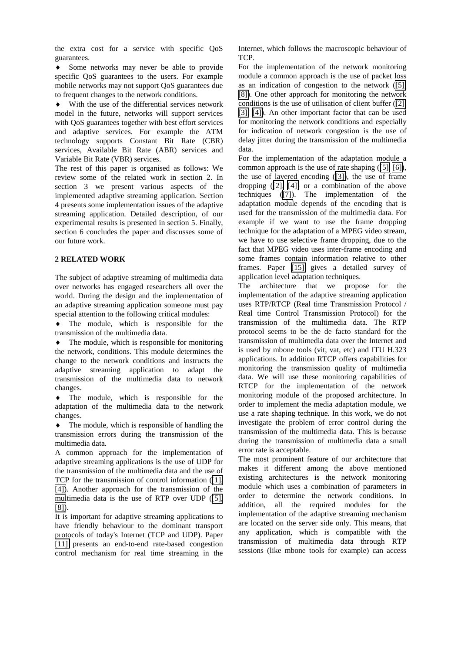the extra cost for a service with specific QoS guarantees.

♦ Some networks may never be able to provide specific QoS guarantees to the users. For example mobile networks may not support QoS guarantees due to frequent changes to the network conditions.

♦ With the use of the differential services network model in the future, networks will support services with QoS guarantees together with best effort services and adaptive services. For example the ATM technology supports Constant Bit Rate (CBR) services, Available Bit Rate (ABR) services and Variable Bit Rate (VBR) services.

The rest of this paper is organised as follows: We review some of the related work in section 2. In section 3 we present various aspects of the implemented adaptive streaming application. Section 4 presents some implementation issues of the adaptive streaming application. Detailed description, of our experimental results is presented in section 5. Finally, section 6 concludes the paper and discusses some of our future work.

#### **2 RELATED WORK**

The subject of adaptive streaming of multimedia data over networks has engaged researchers all over the world. During the design and the implementation of an adaptive streaming application someone must pay special attention to the following critical modules:

♦ The module, which is responsible for the transmission of the multimedia data.

 $\bullet$  The module, which is responsible for monitoring the network, conditions. This module determines the change to the network conditions and instructs the adaptive streaming application to adapt the transmission of the multimedia data to network changes.

♦ The module, which is responsible for the adaptation of the multimedia data to the network changes.

The module, which is responsible of handling the transmission errors during the transmission of the multimedia data.

A common approach for the implementation of adaptive streaming applications is the use of UDP for the transmission of the multimedia data and the use of TCP for the transmission of control information ([\[1\],](#page-9-0) [\[4\]\)](#page-9-0). Another approach for the transmission of the multimedia data is the use of RTP over UDP ([\[5\],](#page-9-0) [\[8\]\)](#page-9-0).

It is important for adaptive streaming applications to have friendly behaviour to the dominant transport protocols of today's Internet (TCP and UDP). Paper [\[11\]](#page-10-0) presents an end-to-end rate-based congestion control mechanism for real time streaming in the

Internet, which follows the macroscopic behaviour of TCP.

For the implementation of the network monitoring module a common approach is the use of packet loss as an indication of congestion to the network [\(\[5\],](#page-9-0) [\[8\]\)](#page-9-0). One other approach for monitoring the network conditions is the use of utilisation of client buffer [\(\[2\],](#page-9-0) [\[3\],](#page-9-0) [\[4\]\)](#page-9-0). An other important factor that can be used for monitoring the network conditions and especially for indication of network congestion is the use of delay jitter during the transmission of the multimedia data.

For the implementation of the adaptation module a common approach is the use of rate shaping ([\[5\], \[6\]\)](#page-9-0), the use of layered encoding ([\[3\]\)](#page-9-0), the use of frame dropping ([\[2\],](#page-9-0) [\[4\]\)](#page-9-0) or a combination of the above techniques ([\[7\]\)](#page-9-0). The implementation of the adaptation module depends of the encoding that is used for the transmission of the multimedia data. For example if we want to use the frame dropping technique for the adaptation of a MPEG video stream, we have to use selective frame dropping, due to the fact that MPEG video uses inter-frame encoding and some frames contain information relative to other frames. Paper [\[15\]](#page-10-0) gives a detailed survey of application level adaptation techniques.

The architecture that we propose for the implementation of the adaptive streaming application uses RTP/RTCP (Real time Transmission Protocol / Real time Control Transmission Protocol) for the transmission of the multimedia data. The RTP protocol seems to be the de facto standard for the transmission of multimedia data over the Internet and is used by mbone tools (vit, vat, etc) and ITU H.323 applications. In addition RTCP offers capabilities for monitoring the transmission quality of multimedia data. We will use these monitoring capabilities of RTCP for the implementation of the network monitoring module of the proposed architecture. In order to implement the media adaptation module, we use a rate shaping technique. In this work, we do not investigate the problem of error control during the transmission of the multimedia data. This is because during the transmission of multimedia data a small error rate is acceptable.

The most prominent feature of our architecture that makes it different among the above mentioned existing architectures is the network monitoring module which uses a combination of parameters in order to determine the network conditions. In addition, all the required modules for the implementation of the adaptive streaming mechanism are located on the server side only. This means, that any application, which is compatible with the transmission of multimedia data through RTP sessions (like mbone tools for example) can access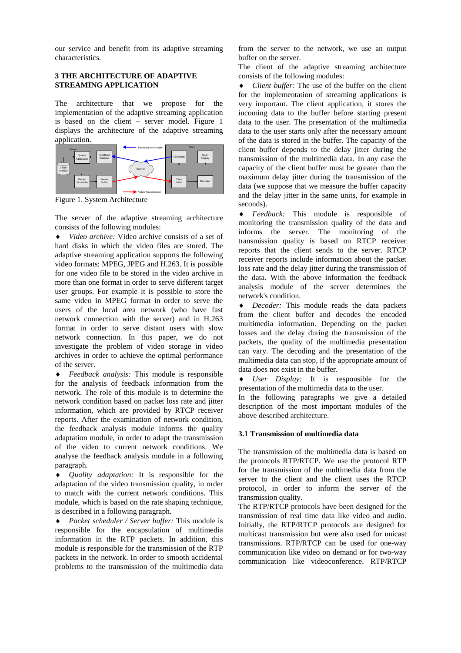our service and benefit from its adaptive streaming characteristics.

# **3 THE ARCHITECTURE OF ADAPTIVE STREAMING APPLICATION**

The architecture that we propose for the implementation of the adaptive streaming application is based on the client – server model. Figure 1 displays the architecture of the adaptive streaming application.



Figure 1. System Architecture

The server of the adaptive streaming architecture consists of the following modules:

♦ *Video archive:* Video archive consists of a set of hard disks in which the video files are stored. The adaptive streaming application supports the following video formats: MPEG, JPEG and H.263. It is possible for one video file to be stored in the video archive in more than one format in order to serve different target user groups. For example it is possible to store the same video in MPEG format in order to serve the users of the local area network (who have fast network connection with the server) and in H.263 format in order to serve distant users with slow network connection. In this paper, we do not investigate the problem of video storage in video archives in order to achieve the optimal performance of the server.

♦ *Feedback analysis:* This module is responsible for the analysis of feedback information from the network. The role of this module is to determine the network condition based on packet loss rate and jitter information, which are provided by RTCP receiver reports. After the examination of network condition, the feedback analysis module informs the quality adaptation module, in order to adapt the transmission of the video to current network conditions. We analyse the feedback analysis module in a following paragraph.

♦ *Quality adaptation:* It is responsible for the adaptation of the video transmission quality, in order to match with the current network conditions. This module, which is based on the rate shaping technique, is described in a following paragraph.

♦ *Packet scheduler / Server buffer:* This module is responsible for the encapsulation of multimedia information in the RTP packets. In addition, this module is responsible for the transmission of the RTP packets in the network. In order to smooth accidental problems to the transmission of the multimedia data

from the server to the network, we use an output buffer on the server.

The client of the adaptive streaming architecture consists of the following modules:

♦ *Client buffer:* The use of the buffer on the client for the implementation of streaming applications is very important. The client application, it stores the incoming data to the buffer before starting present data to the user. The presentation of the multimedia data to the user starts only after the necessary amount of the data is stored in the buffer. The capacity of the client buffer depends to the delay jitter during the transmission of the multimedia data. In any case the capacity of the client buffer must be greater than the maximum delay jitter during the transmission of the data (we suppose that we measure the buffer capacity and the delay jitter in the same units, for example in seconds).

♦ *Feedback:* This module is responsible of monitoring the transmission quality of the data and informs the server. The monitoring of the transmission quality is based on RTCP receiver reports that the client sends to the server. RTCP receiver reports include information about the packet loss rate and the delay jitter during the transmission of the data. With the above information the feedback analysis module of the server determines the network's condition.

♦ *Decoder:* This module reads the data packets from the client buffer and decodes the encoded multimedia information. Depending on the packet losses and the delay during the transmission of the packets, the quality of the multimedia presentation can vary. The decoding and the presentation of the multimedia data can stop, if the appropriate amount of data does not exist in the buffer.

♦ *User Display:* It is responsible for the presentation of the multimedia data to the user.

In the following paragraphs we give a detailed description of the most important modules of the above described architecture.

# **3.1 Transmission of multimedia data**

The transmission of the multimedia data is based on the protocols RTP/RTCP. We use the protocol RTP for the transmission of the multimedia data from the server to the client and the client uses the RTCP protocol, in order to inform the server of the transmission quality.

The RTP/RTCP protocols have been designed for the transmission of real time data like video and audio. Initially, the RTP/RTCP protocols are designed for multicast transmission but were also used for unicast transmissions. RTP/RTCP can be used for one-way communication like video on demand or for two-way communication like videoconference. RTP/RTCP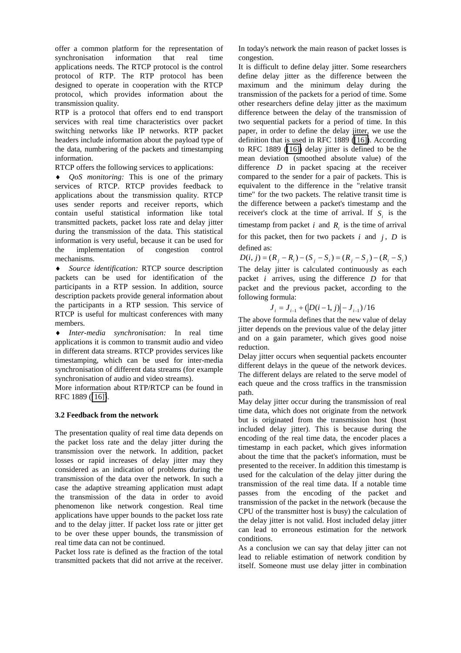offer a common platform for the representation of synchronisation information that real time applications needs. The RTCP protocol is the control protocol of RTP. The RTP protocol has been designed to operate in cooperation with the RTCP protocol, which provides information about the transmission quality.

RTP is a protocol that offers end to end transport services with real time characteristics over packet switching networks like IP networks. RTP packet headers include information about the payload type of the data, numbering of the packets and timestamping information.

RTCP offers the following services to applications:

♦ *QoS monitoring:* This is one of the primary services of RTCP. RTCP provides feedback to applications about the transmission quality. RTCP uses sender reports and receiver reports, which contain useful statistical information like total transmitted packets, packet loss rate and delay jitter during the transmission of the data. This statistical information is very useful, because it can be used for the implementation of congestion control mechanisms.

Source identification: RTCP source description packets can be used for identification of the participants in a RTP session. In addition, source description packets provide general information about the participants in a RTP session. This service of RTCP is useful for multicast conferences with many members.

♦ *Inter-media synchronisation:* In real time applications it is common to transmit audio and video in different data streams. RTCP provides services like timestamping, which can be used for inter-media synchronisation of different data streams (for example synchronisation of audio and video streams).

More information about RTP/RTCP can be found in RFC 1889 ([\[16\]\)](#page-10-0).

# **3.2 Feedback from the network**

The presentation quality of real time data depends on the packet loss rate and the delay jitter during the transmission over the network. In addition, packet losses or rapid increases of delay jitter may they considered as an indication of problems during the transmission of the data over the network. In such a case the adaptive streaming application must adapt the transmission of the data in order to avoid phenomenon like network congestion. Real time applications have upper bounds to the packet loss rate and to the delay jitter. If packet loss rate or jitter get to be over these upper bounds, the transmission of real time data can not be continued.

Packet loss rate is defined as the fraction of the total transmitted packets that did not arrive at the receiver.

In today's network the main reason of packet losses is congestion.

It is difficult to define delay jitter. Some researchers define delay jitter as the difference between the maximum and the minimum delay during the transmission of the packets for a period of time. Some other researchers define delay jitter as the maximum difference between the delay of the transmission of two sequential packets for a period of time. In this paper, in order to define the delay jitter, we use the definition that is used in RFC 1889 [\(\[16\]\)](#page-10-0). According to RFC 1889 ([\[16\]\)](#page-10-0) delay jitter is defined to be the mean deviation (smoothed absolute value) of the difference *D* in packet spacing at the receiver compared to the sender for a pair of packets. This is equivalent to the difference in the "relative transit time" for the two packets. The relative transit time is the difference between a packet's timestamp and the receiver's clock at the time of arrival. If  $S_i$  is the timestamp from packet  $i$  and  $R<sub>i</sub>$  is the time of arrival for this packet, then for two packets  $i$  and  $j$ ,  $D$  is defined as:

 $D(i, j) = (R_i - R_i) - (S_i - S_i) = (R_i - S_i) - (R_i - S_i)$ The delay jitter is calculated continuously as each packet *i* arrives, using the difference *D* for that packet and the previous packet, according to the following formula:

$$
J_i = J_{i-1} + (D(i-1, j) - J_{i-1})/16
$$

The above formula defines that the new value of delay jitter depends on the previous value of the delay jitter and on a gain parameter, which gives good noise reduction.

Delay jitter occurs when sequential packets encounter different delays in the queue of the network devices. The different delays are related to the serve model of each queue and the cross traffics in the transmission path.

May delay jitter occur during the transmission of real time data, which does not originate from the network but is originated from the transmission host (host included delay jitter). This is because during the encoding of the real time data, the encoder places a timestamp in each packet, which gives information about the time that the packet's information, must be presented to the receiver. In addition this timestamp is used for the calculation of the delay jitter during the transmission of the real time data. If a notable time passes from the encoding of the packet and transmission of the packet in the network (because the CPU of the transmitter host is busy) the calculation of the delay jitter is not valid. Host included delay jitter can lead to erroneous estimation for the network conditions.

As a conclusion we can say that delay jitter can not lead to reliable estimation of network condition by itself. Someone must use delay jitter in combination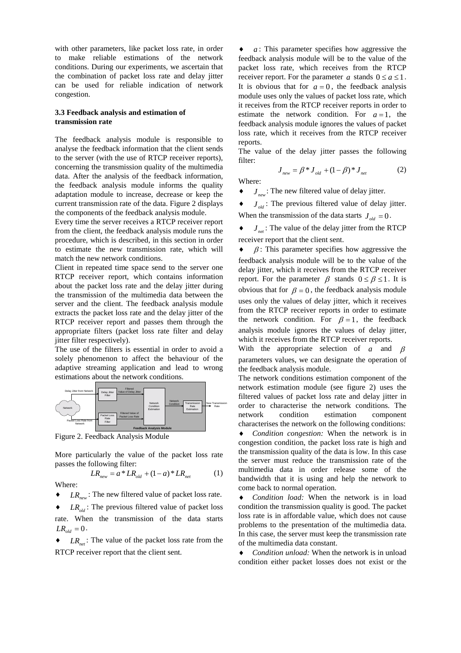with other parameters, like packet loss rate, in order to make reliable estimations of the network conditions. During our experiments, we ascertain that the combination of packet loss rate and delay jitter can be used for reliable indication of network congestion.

#### **3.3 Feedback analysis and estimation of transmission rate**

The feedback analysis module is responsible to analyse the feedback information that the client sends to the server (with the use of RTCP receiver reports), concerning the transmission quality of the multimedia data. After the analysis of the feedback information, the feedback analysis module informs the quality adaptation module to increase, decrease or keep the current transmission rate of the data. Figure 2 displays the components of the feedback analysis module.

Every time the server receives a RTCP receiver report from the client, the feedback analysis module runs the procedure, which is described, in this section in order to estimate the new transmission rate, which will match the new network conditions.

Client in repeated time space send to the server one RTCP receiver report, which contains information about the packet loss rate and the delay jitter during the transmission of the multimedia data between the server and the client. The feedback analysis module extracts the packet loss rate and the delay jitter of the RTCP receiver report and passes them through the appropriate filters (packet loss rate filter and delay jitter filter respectively).

The use of the filters is essential in order to avoid a solely phenomenon to affect the behaviour of the adaptive streaming application and lead to wrong estimations about the network conditions.



Figure 2. Feedback Analysis Module

More particularly the value of the packet loss rate passes the following filter:

$$
LR_{new} = a * LR_{old} + (1 - a) * LR_{net}
$$
 (1)

Where:

- $LR_{\text{max}}$ : The new filtered value of packet loss rate.
- $\bullet$  *LR<sub>old</sub>*: The previous filtered value of packet loss rate. When the transmission of the data starts  $LR_{old} = 0$ .
- $LR_{net}$ : The value of the packet loss rate from the RTCP receiver report that the client sent.

 $a$ : This parameter specifies how aggressive the feedback analysis module will be to the value of the packet loss rate, which receives from the RTCP receiver report. For the parameter *a* stands  $0 \le a \le 1$ . It is obvious that for  $a = 0$ , the feedback analysis module uses only the values of packet loss rate, which it receives from the RTCP receiver reports in order to estimate the network condition. For  $a=1$ , the feedback analysis module ignores the values of packet loss rate, which it receives from the RTCP receiver reports.

The value of the delay jitter passes the following filter:

$$
J_{new} = \beta * J_{old} + (1 - \beta) * J_{net}
$$
 (2)

Where:

 $J_{\text{new}}$ : The new filtered value of delay jitter.

 $J_{old}$ : The previous filtered value of delay jitter. When the transmission of the data starts  $J_{\rho d} = 0$ .

 $J_{net}$ : The value of the delay jitter from the RTCP receiver report that the client sent.

 $\bullet$   $\beta$ : This parameter specifies how aggressive the feedback analysis module will be to the value of the delay jitter, which it receives from the RTCP receiver report. For the parameter  $\beta$  stands  $0 \le \beta \le 1$ . It is obvious that for  $\beta = 0$ , the feedback analysis module uses only the values of delay jitter, which it receives from the RTCP receiver reports in order to estimate the network condition. For  $\beta = 1$ , the feedback analysis module ignores the values of delay jitter, which it receives from the RTCP receiver reports. With the appropriate selection of *a* and β parameters values, we can designate the operation of the feedback analysis module.

The network conditions estimation component of the network estimation module (see figure 2) uses the filtered values of packet loss rate and delay jitter in order to characterise the network conditions. The network condition estimation component characterises the network on the following conditions:

♦ *Condition congestion:* When the network is in congestion condition, the packet loss rate is high and the transmission quality of the data is low. In this case the server must reduce the transmission rate of the multimedia data in order release some of the bandwidth that it is using and help the network to come back to normal operation.

♦ *Condition load:* When the network is in load condition the transmission quality is good. The packet loss rate is in affordable value, which does not cause problems to the presentation of the multimedia data. In this case, the server must keep the transmission rate of the multimedia data constant.

♦ *Condition unload:* When the network is in unload condition either packet losses does not exist or the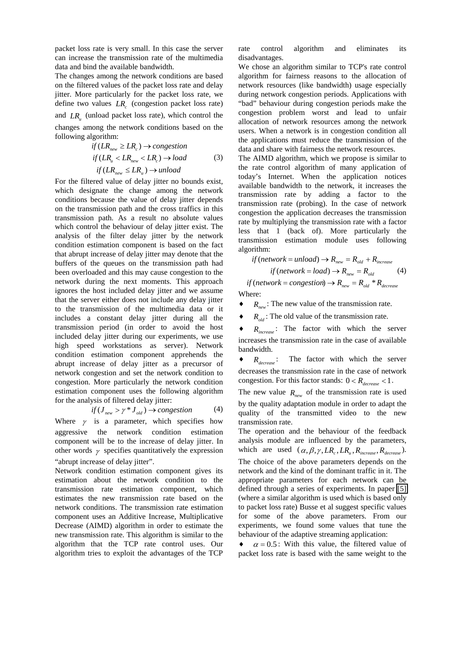packet loss rate is very small. In this case the server can increase the transmission rate of the multimedia data and bind the available bandwidth.

The changes among the network conditions are based on the filtered values of the packet loss rate and delay jitter. More particularly for the packet loss rate, we define two values  $LR_c$  (congestion packet loss rate) and *LR*<sub>u</sub> (unload packet loss rate), which control the changes among the network conditions based on the following algorithm:

if 
$$
(LR_{new} \ge LR_c) \rightarrow congestion
$$
  
if  $(LR_u < LR_{new} < LR_c) \rightarrow load$  (3)  
if  $(LR_{new} \le LR_u) \rightarrow unload$ 

For the filtered value of delay jitter no bounds exist, which designate the change among the network conditions because the value of delay jitter depends on the transmission path and the cross traffics in this transmission path. As a result no absolute values which control the behaviour of delay jitter exist. The analysis of the filter delay jitter by the network condition estimation component is based on the fact that abrupt increase of delay jitter may denote that the buffers of the queues on the transmission path had been overloaded and this may cause congestion to the network during the next moments. This approach ignores the host included delay jitter and we assume that the server either does not include any delay jitter to the transmission of the multimedia data or it includes a constant delay jitter during all the transmission period (in order to avoid the host included delay jitter during our experiments, we use high speed workstations as server). Network condition estimation component apprehends the abrupt increase of delay jitter as a precursor of network congestion and set the network condition to congestion. More particularly the network condition estimation component uses the following algorithm for the analysis of filtered delay jitter:

$$
if (J_{new} > \gamma * J_{old}) \to congestion \tag{4}
$$

Where  $\gamma$  is a parameter, which specifies how aggressive the network condition estimation component will be to the increase of delay jitter. In other words  $\gamma$  specifies quantitatively the expression "abrupt increase of delay jitter".

Network condition estimation component gives its estimation about the network condition to the transmission rate estimation component, which estimates the new transmission rate based on the network conditions. The transmission rate estimation component uses an Additive Increase, Multiplicative Decrease (AIMD) algorithm in order to estimate the new transmission rate. This algorithm is similar to the algorithm that the TCP rate control uses. Our algorithm tries to exploit the advantages of the TCP

rate control algorithm and eliminates its disadvantages.

We chose an algorithm similar to TCP's rate control algorithm for fairness reasons to the allocation of network resources (like bandwidth) usage especially during network congestion periods. Applications with "bad" behaviour during congestion periods make the congestion problem worst and lead to unfair allocation of network resources among the network users. When a network is in congestion condition all the applications must reduce the transmission of the data and share with fairness the network resources.

The AIMD algorithm, which we propose is similar to the rate control algorithm of many application of today's Internet. When the application notices available bandwidth to the network, it increases the transmission rate by adding a factor to the transmission rate (probing). In the case of network congestion the application decreases the transmission rate by multiplying the transmission rate with a factor less that 1 (back of). More particularly the transmission estimation module uses following algorithm:

if (network = unload) 
$$
\rightarrow
$$
 R<sub>new</sub> = R<sub>old</sub> + R<sub>increase</sub>

 $if(network = load) \rightarrow R_{new} = R_{old}$  (4)

 $if (network = congestion) \rightarrow R_{new} = R_{old} * R_{decrease}$ Where:

 $R_{new}$ : The new value of the transmission rate.

 $\bullet$  *R<sub>old</sub>*: The old value of the transmission rate.

 $R_{increase}$ : The factor with which the server increases the transmission rate in the case of available bandwidth.

 $R_{decrease}$ : The factor with which the server decreases the transmission rate in the case of network congestion. For this factor stands:  $0 < R_{decrease} < 1$ .

The new value  $R_{new}$  of the transmission rate is used by the quality adaptation module in order to adapt the quality of the transmitted video to the new transmission rate.

The operation and the behaviour of the feedback analysis module are influenced by the parameters, which are used  $(\alpha, \beta, \gamma, LR_c, LR_u, R_{increase}, R_{decrease}).$ The choice of the above parameters depends on the network and the kind of the dominant traffic in it. The appropriate parameters for each network can be defined through a series of experiments. In paper [\[5\]](#page-9-0)  (where a similar algorithm is used which is based only to packet loss rate) Busse et al suggest specific values for some of the above parameters. From our experiments, we found some values that tune the behaviour of the adaptive streaming application:

 $\bullet$   $\alpha = 0.5$ : With this value, the filtered value of packet loss rate is based with the same weight to the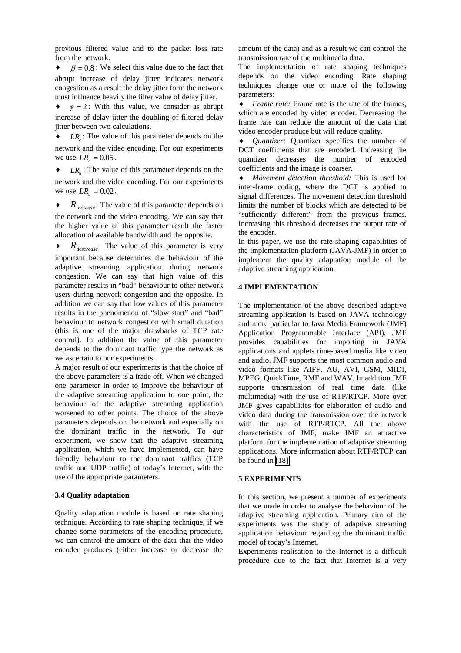previous filtered value and to the packet loss rate from the network.

 $\beta = 0.8$ : We select this value due to the fact that abrupt increase of delay jitter indicates network congestion as a result the delay jitter form the network must influence heavily the filter value of delay jitter.

 $\gamma = 2$ : With this value, we consider as abrupt increase of delay jitter the doubling of filtered delay jitter between two calculations.

 $LR$ : The value of this parameter depends on the network and the video encoding. For our experiments we use  $LR_c = 0.05$ .

◆ *LR* : The value of this parameter depends on the network and the video encoding. For our experiments we use  $LR_{u} = 0.02$ .

♦ *Rincrease* : The value of this parameter depends on the network and the video encoding. We can say that the higher value of this parameter result the faster allocation of available bandwidth and the opposite.

 $R_{decrease}$ : The value of this parameter is very important because determines the behaviour of the adaptive streaming application during network congestion. We can say that high value of this parameter results in "bad" behaviour to other network users during network congestion and the opposite. In addition we can say that low values of this parameter results in the phenomenon of "slow start" and "bad" behaviour to network congestion with small duration (this is one of the major drawbacks of TCP rate control). In addition the value of this parameter depends to the dominant traffic type the network as we ascertain to our experiments.

A major result of our experiments is that the choice of the above parameters is a trade off. When we changed one parameter in order to improve the behaviour of the adaptive streaming application to one point, the behaviour of the adaptive streaming application worsened to other points. The choice of the above parameters depends on the network and especially on the dominant traffic in the network. To our experiment, we show that the adaptive streaming application, which we have implemented, can have friendly behaviour to the dominant traffics (TCP traffic and UDP traffic) of today's Internet, with the use of the appropriate parameters.

# **3.4 Quality adaptation**

Quality adaptation module is based on rate shaping technique. According to rate shaping technique, if we change some parameters of the encoding procedure, we can control the amount of the data that the video encoder produces (either increase or decrease the amount of the data) and as a result we can control the transmission rate of the multimedia data.

The implementation of rate shaping techniques depends on the video encoding. Rate shaping techniques change one or more of the following parameters:

♦ *Frame rate:* Frame rate is the rate of the frames, which are encoded by video encoder. Decreasing the frame rate can reduce the amount of the data that video encoder produce but will reduce quality.

*Quantizer:* Quantizer specifies the number of DCT coefficients that are encoded. Increasing the quantizer decreases the number of encoded coefficients and the image is coarser.

♦ *Movement detection threshold:* This is used for inter-frame coding, where the DCT is applied to signal differences. The movement detection threshold limits the number of blocks which are detected to be "sufficiently different" from the previous frames. Increasing this threshold decreases the output rate of the encoder.

In this paper, we use the rate shaping capabilities of the implementation platform (JAVA-JMF) in order to implement the quality adaptation module of the adaptive streaming application.

#### **4 IMPLEMENTATION**

The implementation of the above described adaptive streaming application is based on JAVA technology and more particular to Java Media Framework (JMF) Application Programmable Interface (API). JMF provides capabilities for importing in JAVA applications and applets time-based media like video and audio. JMF supports the most common audio and video formats like AIFF, AU, AVI, GSM, MIDI, MPEG, QuickTime, RMF and WAV. In addition JMF supports transmission of real time data (like multimedia) with the use of RTP/RTCP. More over JMF gives capabilities for elaboration of audio and video data during the transmission over the network with the use of RTP/RTCP. All the above characteristics of JMF, make JMF an attractive platform for the implementation of adaptive streaming applications. More information about RTP/RTCP can be found in [\[18\].](#page-10-0)

#### **5 EXPERIMENTS**

In this section, we present a number of experiments that we made in order to analyse the behaviour of the adaptive streaming application. Primary aim of the experiments was the study of adaptive streaming application behaviour regarding the dominant traffic model of today's Internet.

Experiments realisation to the Internet is a difficult procedure due to the fact that Internet is a very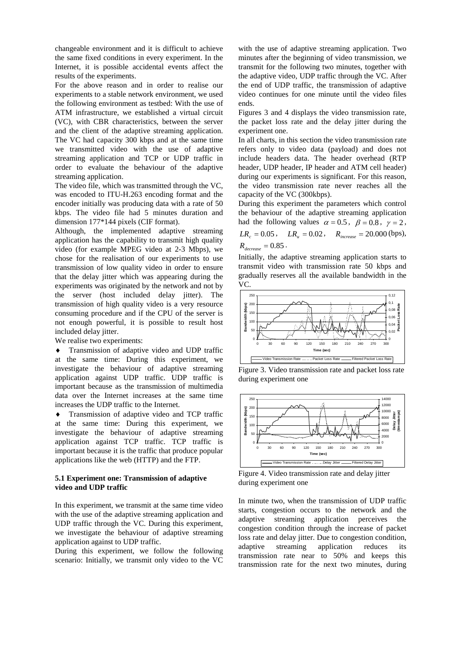changeable environment and it is difficult to achieve the same fixed conditions in every experiment. In the Internet, it is possible accidental events affect the results of the experiments.

For the above reason and in order to realise our experiments to a stable network environment, we used the following environment as testbed: With the use of ATM infrastructure, we established a virtual circuit (VC), with CBR characteristics, between the server and the client of the adaptive streaming application. The VC had capacity 300 kbps and at the same time we transmitted video with the use of adaptive streaming application and TCP or UDP traffic in order to evaluate the behaviour of the adaptive streaming application.

The video file, which was transmitted through the VC, was encoded to ITU-H.263 encoding format and the encoder initially was producing data with a rate of 50 kbps. The video file had 5 minutes duration and dimension 177\*144 pixels (CIF format).

Although, the implemented adaptive streaming application has the capability to transmit high quality video (for example MPEG video at 2-3 Mbps), we chose for the realisation of our experiments to use transmission of low quality video in order to ensure that the delay jitter which was appearing during the experiments was originated by the network and not by the server (host included delay jitter). The transmission of high quality video is a very resource consuming procedure and if the CPU of the server is not enough powerful, it is possible to result host included delay jitter.

We realise two experiments:

Transmission of adaptive video and UDP traffic at the same time: During this experiment, we investigate the behaviour of adaptive streaming application against UDP traffic. UDP traffic is important because as the transmission of multimedia data over the Internet increases at the same time increases the UDP traffic to the Internet.

♦ Transmission of adaptive video and TCP traffic at the same time: During this experiment, we investigate the behaviour of adaptive streaming application against TCP traffic. TCP traffic is important because it is the traffic that produce popular applications like the web (HTTP) and the FTP.

# **5.1 Experiment one: Transmission of adaptive video and UDP traffic**

In this experiment, we transmit at the same time video with the use of the adaptive streaming application and UDP traffic through the VC. During this experiment, we investigate the behaviour of adaptive streaming application against to UDP traffic.

During this experiment, we follow the following scenario: Initially, we transmit only video to the VC with the use of adaptive streaming application. Two minutes after the beginning of video transmission, we transmit for the following two minutes, together with the adaptive video, UDP traffic through the VC. After the end of UDP traffic, the transmission of adaptive video continues for one minute until the video files ends.

Figures 3 and 4 displays the video transmission rate, the packet loss rate and the delay jitter during the experiment one.

In all charts, in this section the video transmission rate refers only to video data (payload) and does not include headers data. The header overhead (RTP header, UDP header, IP header and ATM cell header) during our experiments is significant. For this reason, the video transmission rate never reaches all the capacity of the VC (300kbps).

During this experiment the parameters which control the behaviour of the adaptive streaming application had the following values  $\alpha = 0.5$ ,  $\beta = 0.8$ ,  $\gamma = 2$ ,  $LR = 0.05$ ,  $LR = 0.02$ ,  $R = 20.000$  (bps),

$$
L\mathbf{R}_c = 0.03 \,, \qquad L\mathbf{R}_u = 0.02 \,, \qquad \mathbf{R}_{increase} = 20.000 \,(
$$
  

$$
R_{decrease} = 0.85 \,.
$$

Initially, the adaptive streaming application starts to transmit video with transmission rate 50 kbps and gradually reserves all the available bandwidth in the VC.



Figure 3. Video transmission rate and packet loss rate during experiment one



Figure 4. Video transmission rate and delay jitter during experiment one

In minute two, when the transmission of UDP traffic starts, congestion occurs to the network and the adaptive streaming application perceives the congestion condition through the increase of packet loss rate and delay jitter. Due to congestion condition, adaptive streaming application reduces its transmission rate near to 50% and keeps this transmission rate for the next two minutes, during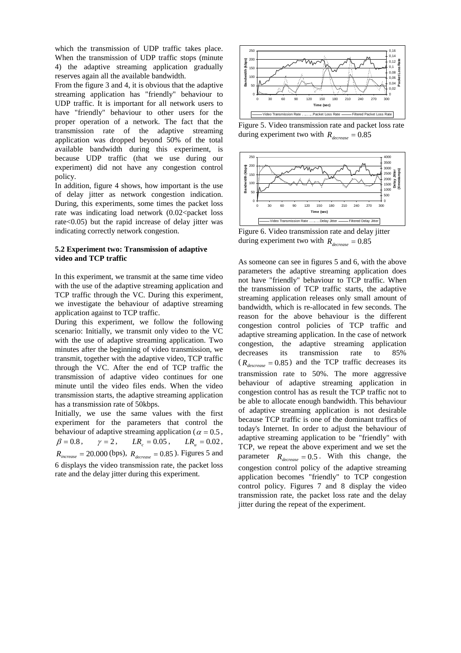which the transmission of UDP traffic takes place. When the transmission of UDP traffic stops (minute 4) the adaptive streaming application gradually reserves again all the available bandwidth.

From the figure 3 and 4, it is obvious that the adaptive streaming application has "friendly" behaviour to UDP traffic. It is important for all network users to have "friendly" behaviour to other users for the proper operation of a network. The fact that the transmission rate of the adaptive streaming application was dropped beyond 50% of the total available bandwidth during this experiment, is because UDP traffic (that we use during our experiment) did not have any congestion control policy.

In addition, figure 4 shows, how important is the use of delay jitter as network congestion indication. During, this experiments, some times the packet loss rate was indicating load network  $(0.02<$ packet loss rate<0.05) but the rapid increase of delay jitter was indicating correctly network congestion.

#### **5.2 Experiment two: Transmission of adaptive video and TCP traffic**

In this experiment, we transmit at the same time video with the use of the adaptive streaming application and TCP traffic through the VC. During this experiment, we investigate the behaviour of adaptive streaming application against to TCP traffic.

During this experiment, we follow the following scenario: Initially, we transmit only video to the VC with the use of adaptive streaming application. Two minutes after the beginning of video transmission, we transmit, together with the adaptive video, TCP traffic through the VC. After the end of TCP traffic the transmission of adaptive video continues for one minute until the video files ends. When the video transmission starts, the adaptive streaming application has a transmission rate of 50kbps.

Initially, we use the same values with the first experiment for the parameters that control the behaviour of adaptive streaming application ( $\alpha = 0.5$ ,  $\beta = 0.8$ ,  $\gamma = 2$ ,  $LR_c = 0.05$ ,  $LR_u = 0.02$ ,  $R_{increase} = 20.000$  (bps),  $R_{decrease} = 0.85$ ). Figures 5 and 6 displays the video transmission rate, the packet loss rate and the delay jitter during this experiment.



Figure 5. Video transmission rate and packet loss rate during experiment two with  $R_{decrease} = 0.85$ 



Figure 6. Video transmission rate and delay jitter during experiment two with  $R_{decrease} = 0.85$ 

As someone can see in figures 5 and 6, with the above parameters the adaptive streaming application does not have "friendly" behaviour to TCP traffic. When the transmission of TCP traffic starts, the adaptive streaming application releases only small amount of bandwidth, which is re-allocated in few seconds. The reason for the above behaviour is the different congestion control policies of TCP traffic and adaptive streaming application. In the case of network congestion, the adaptive streaming application decreases its transmission rate to 85%  $(R_{descrease} = 0.85)$  and the TCP traffic decreases its transmission rate to 50%. The more aggressive behaviour of adaptive streaming application in congestion control has as result the TCP traffic not to be able to allocate enough bandwidth. This behaviour of adaptive streaming application is not desirable because TCP traffic is one of the dominant traffics of today's Internet. In order to adjust the behaviour of adaptive streaming application to be "friendly" with TCP, we repeat the above experiment and we set the parameter  $R_{decrease} = 0.5$ . With this change, the congestion control policy of the adaptive streaming application becomes "friendly" to TCP congestion control policy. Figures 7 and 8 display the video transmission rate, the packet loss rate and the delay jitter during the repeat of the experiment.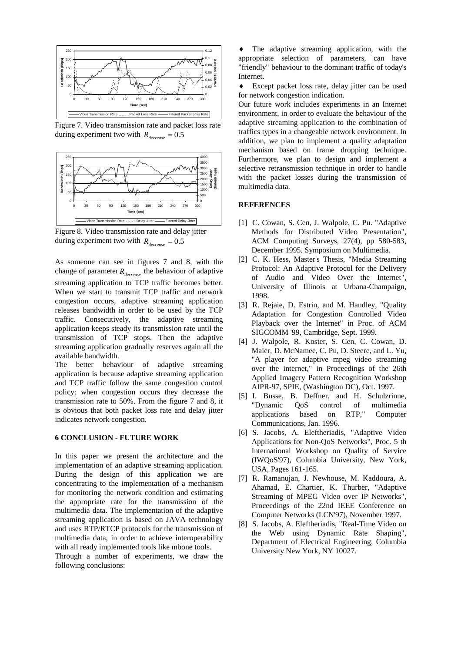<span id="page-9-0"></span>

Figure 7. Video transmission rate and packet loss rate during experiment two with  $R_{decrease} = 0.5$ 



Figure 8. Video transmission rate and delay jitter during experiment two with  $R_{decrease} = 0.5$ 

As someone can see in figures 7 and 8, with the change of parameter  $R_{decrease}$  the behaviour of adaptive streaming application to TCP traffic becomes better. When we start to transmit TCP traffic and network congestion occurs, adaptive streaming application releases bandwidth in order to be used by the TCP traffic. Consecutively, the adaptive streaming application keeps steady its transmission rate until the transmission of TCP stops. Then the adaptive streaming application gradually reserves again all the available bandwidth.

The better behaviour of adaptive streaming application is because adaptive streaming application and TCP traffic follow the same congestion control policy: when congestion occurs they decrease the transmission rate to 50%. From the figure 7 and 8, it is obvious that both packet loss rate and delay jitter indicates network congestion.

#### **6 CONCLUSION - FUTURE WORK**

In this paper we present the architecture and the implementation of an adaptive streaming application. During the design of this application we are concentrating to the implementation of a mechanism for monitoring the network condition and estimating the appropriate rate for the transmission of the multimedia data. The implementation of the adaptive streaming application is based on JAVA technology and uses RTP/RTCP protocols for the transmission of multimedia data, in order to achieve interoperability with all ready implemented tools like mbone tools.

Through a number of experiments, we draw the following conclusions:

The adaptive streaming application, with the appropriate selection of parameters, can have "friendly" behaviour to the dominant traffic of today's Internet.

♦ Except packet loss rate, delay jitter can be used for network congestion indication.

Our future work includes experiments in an Internet environment, in order to evaluate the behaviour of the adaptive streaming application to the combination of traffics types in a changeable network environment. In addition, we plan to implement a quality adaptation mechanism based on frame dropping technique. Furthermore, we plan to design and implement a selective retransmission technique in order to handle with the packet losses during the transmission of multimedia data.

#### **REFERENCES**

- [1] C. Cowan, S. Cen, J. Walpole, C. Pu. "Adaptive Methods for Distributed Video Presentation", ACM Computing Surveys, 27(4), pp 580-583, December 1995. Symposium on Multimedia.
- [2] C. K. Hess, Master's Thesis, "Media Streaming Protocol: An Adaptive Protocol for the Delivery of Audio and Video Over the Internet", University of Illinois at Urbana-Champaign, 1998.
- [3] R. Rejaie, D. Estrin, and M. Handley, "Quality Adaptation for Congestion Controlled Video Playback over the Internet" in Proc. of ACM SIGCOMM '99, Cambridge, Sept. 1999.
- [4] J. Walpole, R. Koster, S. Cen, C. Cowan, D. Maier, D. McNamee, C. Pu, D. Steere, and L. Yu, "A player for adaptive mpeg video streaming over the internet," in Proceedings of the 26th Applied Imagery Pattern Recognition Workshop AIPR-97, SPIE, (Washington DC), Oct. 1997.
- [5] I. Busse, B. Deffner, and H. Schulzrinne, "Dynamic QoS control of multimedia applications based on RTP," Computer Communications, Jan. 1996.
- [6] S. Jacobs, A. Eleftheriadis, "Adaptive Video Applications for Non-QoS Networks", Proc. 5 th International Workshop on Quality of Service (IWQoS'97), Columbia University, New York, USA, Pages 161-165.
- [7] R. Ramanujan, J. Newhouse, M. Kaddoura, A. Ahamad, E. Chartier, K. Thurber, "Adaptive Streaming of MPEG Video over IP Networks", Proceedings of the 22nd IEEE Conference on Computer Networks (LCN'97), November 1997.
- [8] S. Jacobs, A. Eleftheriadis, "Real-Time Video on the Web using Dynamic Rate Shaping", Department of Electrical Engineering, Columbia University New York, NY 10027.